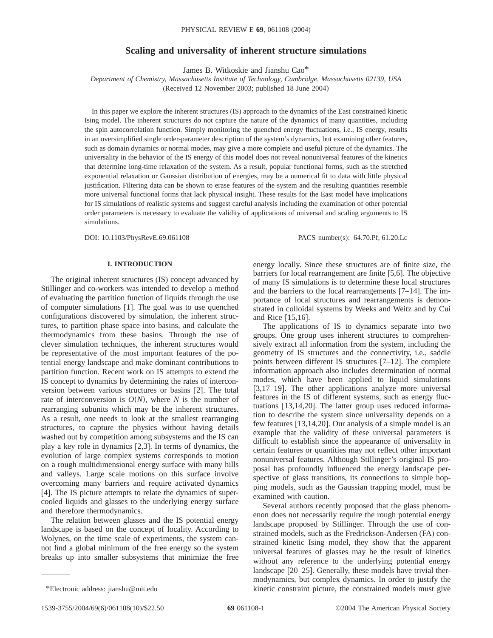# **Scaling and universality of inherent structure simulations**

James B. Witkoskie and Jianshu Cao\*

*Department of Chemistry, Massachusetts Institute of Technology, Cambridge, Massachusetts 02139, USA* (Received 12 November 2003; published 18 June 2004)

In this paper we explore the inherent structures (IS) approach to the dynamics of the East constrained kinetic Ising model. The inherent structures do not capture the nature of the dynamics of many quantities, including the spin autocorrelation function. Simply monitoring the quenched energy fluctuations, i.e., IS energy, results in an oversimplified single order-parameter description of the system's dynamics, but examining other features, such as domain dynamics or normal modes, may give a more complete and useful picture of the dynamics. The universality in the behavior of the IS energy of this model does not reveal nonuniversal features of the kinetics that determine long-time relaxation of the system. As a result, popular functional forms, such as the stretched exponential relaxation or Gaussian distribution of energies, may be a numerical fit to data with little physical justification. Filtering data can be shown to erase features of the system and the resulting quantities resemble more universal functional forms that lack physical insight. These results for the East model have implications for IS simulations of realistic systems and suggest careful analysis including the examination of other potential order parameters is necessary to evaluate the validity of applications of universal and scaling arguments to IS simulations.

DOI: 10.1103/PhysRevE.69.061108 PACS number(s): 64.70.Pf, 61.20.Lc

# **I. INTRODUCTION**

The original inherent structures (IS) concept advanced by Stillinger and co-workers was intended to develop a method of evaluating the partition function of liquids through the use of computer simulations [1]. The goal was to use quenched configurations discovered by simulation, the inherent structures, to partition phase space into basins, and calculate the thermodynamics from these basins. Through the use of clever simulation techniques, the inherent structures would be representative of the most important features of the potential energy landscape and make dominant contributions to partition function. Recent work on IS attempts to extend the IS concept to dynamics by determining the rates of interconversion between various structures or basins [2]. The total rate of interconversion is  $O(N)$ , where *N* is the number of rearranging subunits which may be the inherent structures. As a result, one needs to look at the smallest rearranging structures, to capture the physics without having details washed out by competition among subsystems and the IS can play a key role in dynamics [2,3]. In terms of dynamics, the evolution of large complex systems corresponds to motion on a rough multidimensional energy surface with many hills and valleys. Large scale motions on this surface involve overcoming many barriers and require activated dynamics [4]. The IS picture attempts to relate the dynamics of supercooled liquids and glasses to the underlying energy surface and therefore thermodynamics.

The relation between glasses and the IS potential energy landscape is based on the concept of locality. According to Wolynes, on the time scale of experiments, the system cannot find a global minimum of the free energy so the system breaks up into smaller subsystems that minimize the free energy locally. Since these structures are of finite size, the barriers for local rearrangement are finite [5,6]. The objective of many IS simulations is to determine these local structures and the barriers to the local rearrangements [7–14]. The importance of local structures and rearrangements is demonstrated in colloidal systems by Weeks and Weitz and by Cui and Rice [15,16].

The applications of IS to dynamics separate into two groups. One group uses inherent structures to comprehensively extract all information from the system, including the geometry of IS structures and the connectivity, i.e., saddle points between different IS structures [7–12]. The complete information approach also includes determination of normal modes, which have been applied to liquid simulations [3,17–19]. The other applications analyze more universal features in the IS of different systems, such as energy fluctuations [13,14,20]. The latter group uses reduced information to describe the system since universality depends on a few features [13,14,20]. Our analysis of a simple model is an example that the validity of these universal parameters is difficult to establish since the appearance of universality in certain features or quantities may not reflect other important nonuniversal features. Although Stillinger's original IS proposal has profoundly influenced the energy landscape perspective of glass transitions, its connections to simple hopping models, such as the Gaussian trapping model, must be examined with caution.

Several authors recently proposed that the glass phenomenon does not necessarily require the rough potential energy landscape proposed by Stillinger. Through the use of constrained models, such as the Fredrickson-Andersen (FA) constrained kinetic Ising model, they show that the apparent universal features of glasses may be the result of kinetics without any reference to the underlying potential energy landscape [20–25]. Generally, these models have trivial thermodynamics, but complex dynamics. In order to justify the \*Electronic address: jianshu@mit.edu kinetic constraint picture, the constrained models must give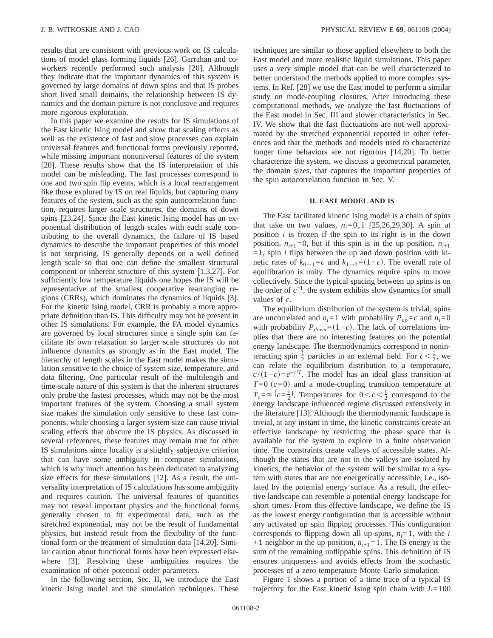results that are consistent with previous work on IS calculations of model glass forming liquids [26]. Garrahan and coworkers recently performed such analysis [20]. Although they indicate that the important dynamics of this system is governed by large domains of down spins and that IS probes short lived small domains, the relationship between IS dynamics and the domain picture is not conclusive and requires more rigorous exploration.

In this paper we examine the results for IS simulations of the East kinetic Ising model and show that scaling effects as well as the existence of fast and slow processes can explain universal features and functional forms previously reported, while missing important nonuniversal features of the system [20]. These results show that the IS interpretation of this model can be misleading. The fast processes correspond to one and two spin flip events, which is a local rearrangement like those explored by IS on real liquids, but capturing many features of the system, such as the spin autocorrelation function, requires larger scale structures, the domains of down spins [23,24]. Since the East kinetic Ising model has an exponential distribution of length scales with each scale contributing to the overall dynamics, the failure of IS based dynamics to describe the important properties of this model is not surprising. IS generally depends on a well defined length scale so that one can define the smallest structural component or inherent structure of this system [1,3,27]. For sufficiently low temperature liquids one hopes the IS will be representative of the smallest cooperative rearranging regions (CRRs), which dominates the dynamics of liquids [3]. For the kinetic Ising model, CRR is probably a more appropriate definition than IS. This difficulty may not be present in other IS simulations. For example, the FA model dynamics are governed by local structures since a single spin can facilitate its own relaxation so larger scale structures do not influence dynamics as strongly as in the East model. The hierarchy of length scales in the East model makes the simulation sensitive to the choice of system size, temperature, and data filtering. One particular result of the multilength and time-scale nature of this system is that the inherent structures only probe the fastest processes, which may not be the most important features of the system. Choosing a small system size makes the simulation only sensitive to these fast components, while choosing a larger system size can cause trivial scaling effects that obscure the IS physics. As discussed in several references, these features may remain true for other IS simulations since locality is a slightly subjective criterion that can have some ambiguity in computer simulations, which is why much attention has been dedicated to analyzing size effects for these simulations [12]. As a result, the universality interpretation of IS calculations has some ambiguity and requires caution. The universal features of quantities may not reveal important physics and the functional forms generally chosen to fit experimental data, such as the stretched exponential, may not be the result of fundamental physics, but instead result from the flexibility of the functional form or the treatment of simulation data [14,20]. Similar caution about functional forms have been expressed elsewhere [3]. Resolving these ambiguities requires the examination of other potential order parameters.

In the following section, Sec. II, we introduce the East kinetic Ising model and the simulation techniques. These techniques are similar to those applied elsewhere to both the East model and more realistic liquid simulations. This paper uses a very simple model that can be well characterized to better understand the methods applied to more complex systems. In Ref. [28] we use the East model to perform a similar study on mode-coupling closures. After introducing these computational methods, we analyze the fast fluctuations of the East model in Sec. III and slower characteristics in Sec. IV. We show that the fast fluctuations are not well approximated by the stretched exponential reported in other references and that the methods and models used to characterize longer time behaviors are not rigorous [14,20]. To better characterize the system, we discuss a geometrical parameter, the domain sizes, that captures the important properties of the spin autocorrelation function in Sec. V.

#### **II. EAST MODEL AND IS**

The East facilitated kinetic Ising model is a chain of spins that take on two values,  $n_i = 0, 1$  [25,26,29,30]. A spin at position *i* is frozen if the spin to its right is in the down position,  $n_{i+1}=0$ , but if this spin is in the up position,  $n_{i+1}$  $=1$ , spin *i* flips between the up and down position with kinetic rates of  $k_{0\to 1}=c$  and  $k_{1\to 0}=$ (1−*c*). The overall rate of equilibration is unity. The dynamics require spins to move collectively. Since the typical spacing between up spins is on the order of  $c^{-1}$ , the system exhibits slow dynamics for small values of *c*.

The equilibrium distribution of the system is trivial, spins are uncorrelated and  $n_i=1$  with probability  $P_{up}=c$  and  $n_i=0$ with probability  $P_{down}=(1-c)$ . The lack of correlations implies that there are no interesting features on the potential energy landscape. The thermodynamics correspond to noninteracting spin  $\frac{1}{2}$  particles in an external field. For  $c < \frac{1}{2}$ , we can relate the equilibrium distribution to a temperature,  $c/(1-c)=e^{-1/T}$ . The model has an ideal glass transition at  $T=0$  ( $c=0$ ) and a mode-coupling transition temperature at  $T_c = \infty$   $(c = \frac{1}{2})$ . Temperatures for  $0 < c < \frac{1}{2}$  correspond to the energy landscape influenced regime discussed extensively in the literature [13]. Although the thermodynamic landscape is trivial, at any instant in time, the kinetic constraints create an effective landscape by restricting the phase space that is available for the system to explore in a finite observation time. The constraints create valleys of accessible states. Although the states that are not in the valleys are isolated by kinetics, the behavior of the system will be similar to a system with states that are not energetically accessible, i.e., isolated by the potential energy surface. As a result, the effective landscape can resemble a potential energy landscape for short times. From this effective landscape, we define the IS as the lowest energy configuration that is accessible without any activated up spin flipping processes. This configuration corresponds to flipping down all up spins,  $n<sub>i</sub>=1$ , with the *i*  $+1$  neighbor in the up position,  $n_{i+1}=1$ . The IS energy is the sum of the remaining unflippable spins. This definition of IS ensures uniqueness and avoids effects from the stochastic processes of a zero temperature Monte Carlo simulation.

Figure 1 shows a portion of a time trace of a typical IS trajectory for the East kinetic Ising spin chain with *L*=100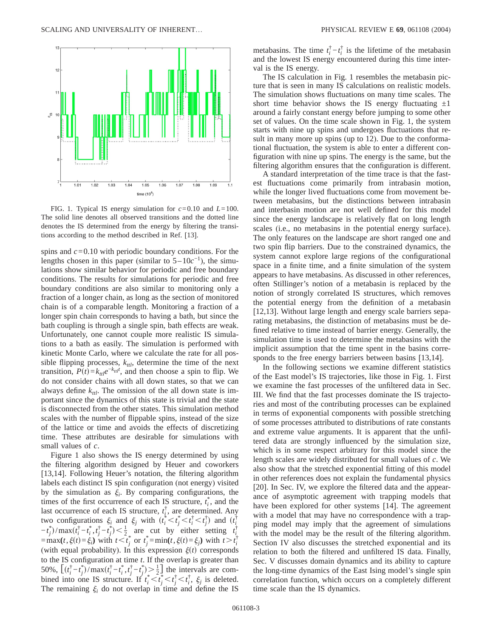

FIG. 1. Typical IS energy simulation for *c*=0.10 and *L*=100. The solid line denotes all observed transitions and the dotted line denotes the IS determined from the energy by filtering the transitions according to the method described in Ref. [13].

spins and  $c = 0.10$  with periodic boundary conditions. For the lengths chosen in this paper (similar to  $5-10c^{-1}$ ), the simulations show similar behavior for periodic and free boundary conditions. The results for simulations for periodic and free boundary conditions are also similar to monitoring only a fraction of a longer chain, as long as the section of monitored chain is of a comparable length. Monitoring a fraction of a longer spin chain corresponds to having a bath, but since the bath coupling is through a single spin, bath effects are weak. Unfortunately, one cannot couple more realistic IS simulations to a bath as easily. The simulation is performed with kinetic Monte Carlo, where we calculate the rate for all possible flipping processes,  $k_{ttl}$ , determine the time of the next transition,  $P(t) = k_{tt}e^{-k_{tt}t}$ , and then choose a spin to flip. We do not consider chains with all down states, so that we can always define  $k_{\text{th}}$ . The omission of the all down state is important since the dynamics of this state is trivial and the state is disconnected from the other states. This simulation method scales with the number of flippable spins, instead of the size of the lattice or time and avoids the effects of discretizing time. These attributes are desirable for simulations with small values of *c*.

Figure 1 also shows the IS energy determined by using the filtering algorithm designed by Heuer and coworkers [13,14]. Following Heuer's notation, the filtering algorithm labels each distinct IS spin configuration (not energy) visited by the simulation as  $\xi$ . By comparing configurations, the times of the first occurrence of each IS structure,  $t_i^*$ , and the last occurrence of each IS structure,  $t_i^{\dagger}$ , are determined. Any two configurations  $\xi_i$  and  $\xi_j$  with  $(t_i^* < t_j^* < t_j^{\dagger} < t_j^{\dagger})$  and  $(t_i^{\dagger}$  $-t_j^*$ )/max $(t_i^{\dagger} - t_i^*, t_j^{\dagger} - t_j^*) < \frac{1}{2}$  are cut by either setting  $t_i^{\dagger}$  $\int \frac{1}{t} \sin(t, \xi(t)) \, dt = \int \frac{1}{t} \sin(t, \xi(t)) \, dt$  with  $t > t_i^{\dagger}$ (with equal probability). In this expression  $\xi(t)$  corresponds to the IS configuration at time *t*. If the overlap is greater than 50%,  $[(t_i^{\dagger} - t_j^*) / max(t_i^{\dagger} - t_i^*, t_j^{\dagger} - t_j^*) > \frac{1}{2}]$  the intervals are combined into one IS structure. If  $t_i^* \leq t_j^* \leq t_j^{\dagger} \leq t_i^{\dagger}$ ,  $\xi_j$  is deleted. The remaining  $\xi$  do not overlap in time and define the IS

metabasins. The time  $t_i^{\dagger} - t_i^{\dagger}$  is the lifetime of the metabasin and the lowest IS energy encountered during this time interval is the IS energy.

The IS calculation in Fig. 1 resembles the metabasin picture that is seen in many IS calculations on realistic models. The simulation shows fluctuations on many time scales. The short time behavior shows the IS energy fluctuating  $\pm 1$ around a fairly constant energy before jumping to some other set of values. On the time scale shown in Fig. 1, the system starts with nine up spins and undergoes fluctuations that result in many more up spins (up to 12). Due to the conformational fluctuation, the system is able to enter a different configuration with nine up spins. The energy is the same, but the filtering algorithm ensures that the configuration is different.

A standard interpretation of the time trace is that the fastest fluctuations come primarily from intrabasin motion, while the longer lived fluctuations come from movement between metabasins, but the distinctions between intrabasin and interbasin motion are not well defined for this model since the energy landscape is relatively flat on long length scales (i.e., no metabasins in the potential energy surface). The only features on the landscape are short ranged one and two spin flip barriers. Due to the constrained dynamics, the system cannot explore large regions of the configurational space in a finite time, and a finite simulation of the system appears to have metabasins. As discussed in other references, often Stillinger's notion of a metabasin is replaced by the notion of strongly correlated IS structures, which removes the potential energy from the definition of a metabasin [12,13]. Without large length and energy scale barriers separating metabasins, the distinction of metabasins must be defined relative to time instead of barrier energy. Generally, the simulation time is used to determine the metabasins with the implicit assumption that the time spent in the basins corresponds to the free energy barriers between basins [13,14].

In the following sections we examine different statistics of the East model's IS trajectories, like those in Fig. 1. First we examine the fast processes of the unfiltered data in Sec. III. We find that the fast processes dominate the IS trajectories and most of the contributing processes can be explained in terms of exponential components with possible stretching of some processes attributed to distributions of rate constants and extreme value arguments. It is apparent that the unfiltered data are strongly influenced by the simulation size, which is in some respect arbitrary for this model since the length scales are widely distributed for small values of *c*. We also show that the stretched exponential fitting of this model in other references does not explain the fundamental physics [20]. In Sec. IV, we explore the filtered data and the appearance of asymptotic agreement with trapping models that have been explored for other systems [14]. The agreement with a model that may have no correspondence with a trapping model may imply that the agreement of simulations with the model may be the result of the filtering algorithm. Section IV also discusses the stretched exponential and its relation to both the filtered and unfiltered IS data. Finally, Sec. V discusses domain dynamics and its ability to capture the long-time dynamics of the East Ising model's single spin correlation function, which occurs on a completely different time scale than the IS dynamics.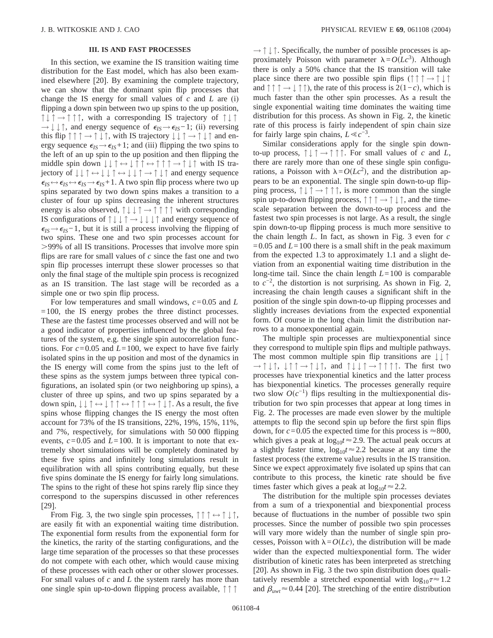## **III. IS AND FAST PROCESSES**

In this section, we examine the IS transition waiting time distribution for the East model, which has also been examined elsewhere [20]. By examining the complete trajectory, we can show that the dominant spin flip processes that change the IS energy for small values of *c* and *L* are (i) flipping a down spin between two up spins to the up position, ↑↓↑→↑↑↑, with a corresponding IS trajectory of ↑↓↑ →↓↓↑, and energy sequence of <sup>e</sup>*IS*→<sup>e</sup>*IS*−1; (ii) reversing this flip  $\uparrow \uparrow \uparrow \rightarrow \uparrow \downarrow \uparrow$ , with IS trajectory  $\downarrow \downarrow \uparrow \rightarrow \uparrow \downarrow \uparrow$  and energy sequence  $\epsilon_{IS} \rightarrow \epsilon_{IS} + 1$ ; and (iii) flipping the two spins to the left of an up spin to the up position and then flipping the middle spin down  $\downarrow \downarrow \uparrow \leftrightarrow \downarrow \uparrow \uparrow \leftrightarrow \uparrow \uparrow \uparrow \rightarrow \uparrow \downarrow \uparrow$  with IS trajectory of  $\downarrow \downarrow \uparrow \leftrightarrow \downarrow \downarrow \uparrow \leftrightarrow \downarrow \downarrow \uparrow \to \uparrow \downarrow \uparrow$  and energy sequence  $\epsilon_{IS} \leftrightarrow \epsilon_{IS} \leftrightarrow \epsilon_{IS} \rightarrow \epsilon_{IS} + 1$ . A two spin flip process where two up spins separated by two down spins makes a transition to a cluster of four up spins decreasing the inherent structures energy is also observed,  $\uparrow \downarrow \downarrow \uparrow \rightarrow \uparrow \uparrow \uparrow \uparrow$  with corresponding IS configurations of  $\uparrow \downarrow \downarrow \uparrow \rightarrow \downarrow \downarrow \uparrow$  and energy sequence of  $\epsilon_{IS} \rightarrow \epsilon_{IS} - 1$ , but it is still a process involving the flipping of two spins. These one and two spin processes account for .99% of all IS transitions. Processes that involve more spin flips are rare for small values of *c* since the fast one and two spin flip processes interrupt these slower processes so that only the final stage of the multiple spin process is recognized as an IS transition. The last stage will be recorded as a simple one or two spin flip process.

For low temperatures and small windows, *c*=0.05 and *L* =100, the IS energy probes the three distinct processes. These are the fastest time processes observed and will not be a good indicator of properties influenced by the global features of the system, e.g. the single spin autocorrelation functions. For  $c = 0.05$  and  $L = 100$ , we expect to have five fairly isolated spins in the up position and most of the dynamics in the IS energy will come from the spins just to the left of these spins as the system jumps between three typical configurations, an isolated spin (or two neighboring up spins), a cluster of three up spins, and two up spins separated by a down spin,  $\downarrow \downarrow \uparrow \leftrightarrow \downarrow \uparrow \uparrow \leftrightarrow \uparrow \uparrow \uparrow \leftrightarrow \uparrow \downarrow \uparrow$ . As a result, the five spins whose flipping changes the IS energy the most often account for 73% of the IS transitions, 22%, 19%, 15%, 11%, and 7%, respectively, for simulations with 50 000 flipping events,  $c = 0.05$  and  $L = 100$ . It is important to note that extremely short simulations will be completely dominated by these five spins and infinitely long simulations result in equilibration with all spins contributing equally, but these five spins dominate the IS energy for fairly long simulations. The spins to the right of these hot spins rarely flip since they correspond to the superspins discussed in other references [29].

From Fig. 3, the two single spin processes,  $\uparrow \uparrow \uparrow \leftrightarrow \uparrow \downarrow \uparrow$ , are easily fit with an exponential waiting time distribution. The exponential form results from the exponential form for the kinetics, the rarity of the starting configurations, and the large time separation of the processes so that these processes do not compete with each other, which would cause mixing of these processes with each other or other slower processes. For small values of *c* and *L* the system rarely has more than one single spin up-to-down flipping process available, ↑↑↑

 $\rightarrow \uparrow \downarrow \uparrow$ . Specifically, the number of possible processes is approximately Poisson with parameter  $\lambda = O(Lc^3)$ . Although there is only a 50% chance that the IS transition will take place since there are two possible spin flips  $(\uparrow \uparrow \uparrow \rightarrow \uparrow \downarrow \uparrow$ and  $\uparrow \uparrow \uparrow \rightarrow \downarrow \uparrow \uparrow$ ), the rate of this process is 2(1−*c*), which is much faster than the other spin processes. As a result the single exponential waiting time dominates the waiting time distribution for this process. As shown in Fig. 2, the kinetic rate of this process is fairly independent of spin chain size for fairly large spin chains,  $L \ll c^{-3}$ .

Similar considerations apply for the single spin downto-up process,  $\uparrow \downarrow \uparrow \rightarrow \uparrow \uparrow \uparrow$ . For small values of *c* and *L*, there are rarely more than one of these single spin configurations, a Poisson with  $\lambda = O(Lc^2)$ , and the distribution appears to be an exponential. The single spin down-to-up flipping process,  $\uparrow \downarrow \uparrow \rightarrow \uparrow \uparrow \uparrow$ , is more common than the single spin up-to-down flipping process,  $\uparrow \uparrow \uparrow \rightarrow \uparrow \downarrow \uparrow$ , and the timescale separation between the down-to-up process and the fastest two spin processes is not large. As a result, the single spin down-to-up flipping process is much more sensitive to the chain length *L*. In fact, as shown in Fig. 3 even for *c*  $=0.05$  and  $L=100$  there is a small shift in the peak maximum from the expected 1.3 to approximately 1.1 and a slight deviation from an exponential waiting time distribution in the long-time tail. Since the chain length *L*=100 is comparable to *c*−2, the distortion is not surprising. As shown in Fig. 2, increasing the chain length causes a significant shift in the position of the single spin down-to-up flipping processes and slightly increases deviations from the expected exponential form. Of course in the long chain limit the distribution narrows to a monoexponential again.

The multiple spin processes are multiexponential since they correspond to multiple spin flips and multiple pathways. The most common multiple spin flip transitions are  $\downarrow \downarrow \uparrow$  $\rightarrow \uparrow \downarrow \uparrow$ ,  $\downarrow \uparrow \uparrow \rightarrow \uparrow \downarrow \uparrow$ , and  $\uparrow \downarrow \downarrow \uparrow \rightarrow \uparrow \uparrow \uparrow \uparrow$ . The first two processes have triexponential kinetics and the latter process has biexponential kinetics. The processes generally require two slow  $O(c^{-1})$  flips resulting in the multiexponential distribution for two spin processes that appear at long times in Fig. 2. The processes are made even slower by the multiple attempts to flip the second spin up before the first spin flips down, for  $c = 0.05$  the expected time for this process is  $\approx 800$ , which gives a peak at  $log_{10}t \approx 2.9$ . The actual peak occurs at a slightly faster time,  $log_{10}t \approx 2.2$  because at any time the fastest process (the extreme value) results in the IS transition. Since we expect approximately five isolated up spins that can contribute to this process, the kinetic rate should be five times faster which gives a peak at  $log_{10}t \approx 2.2$ .

The distribution for the multiple spin processes deviates from a sum of a triexponential and biexponential process because of fluctuations in the number of possible two spin processes. Since the number of possible two spin processes will vary more widely than the number of single spin processes, Poisson with  $\lambda = O(Lc)$ , the distribution will be made wider than the expected multiexponential form. The wider distribution of kinetic rates has been interpreted as stretching [20]. As shown in Fig. 3 the two spin distribution does qualitatively resemble a stretched exponential with  $\log_{10} \tau \approx 1.2$ and  $\beta_{uwt}$   $\approx$  0.44 [20]. The stretching of the entire distribution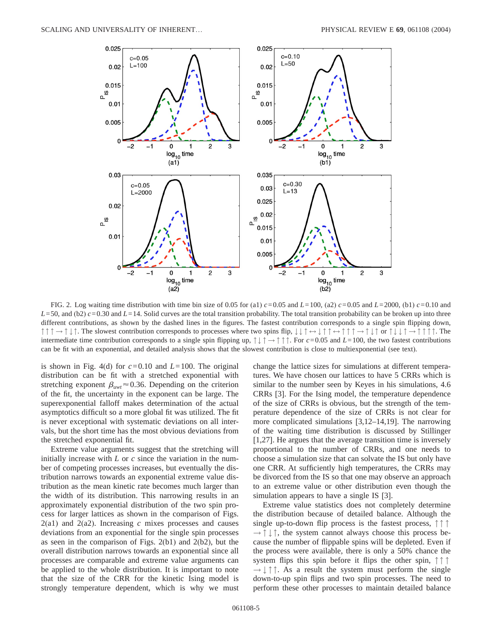

FIG. 2. Log waiting time distribution with time bin size of 0.05 for (a1)  $c=0.05$  and  $L=100$ , (a2)  $c=0.05$  and  $L=2000$ , (b1)  $c=0.10$  and  $L=50$ , and (b2)  $c=0.30$  and  $L=14$ . Solid curves are the total transition probability. The total transition probability can be broken up into three different contributions, as shown by the dashed lines in the figures. The fastest contribution corresponds to a single spin flipping down, ↑↑↑→↑↓↑. The slowest contribution corresponds to processes where two spins flip, ↓↓↑↔↓↑↑↔↑↑↑→↑↓↑ or ↑↓↓↑→↑↑↑↑. The intermediate time contribution corresponds to a single spin flipping up, ↑↓↑→↑↑↑. For *c*=0.05 and *L*=100, the two fastest contributions can be fit with an exponential, and detailed analysis shows that the slowest contribution is close to multiexponential (see text).

is shown in Fig. 4(d) for  $c=0.10$  and  $L=100$ . The original distribution can be fit with a stretched exponential with stretching exponent  $\beta_{uwt} \approx 0.36$ . Depending on the criterion of the fit, the uncertainty in the exponent can be large. The superexponential falloff makes determination of the actual asymptotics difficult so a more global fit was utilized. The fit is never exceptional with systematic deviations on all intervals, but the short time has the most obvious deviations from the stretched exponential fit.

Extreme value arguments suggest that the stretching will initially increase with *L* or *c* since the variation in the number of competing processes increases, but eventually the distribution narrows towards an exponential extreme value distribution as the mean kinetic rate becomes much larger than the width of its distribution. This narrowing results in an approximately exponential distribution of the two spin process for larger lattices as shown in the comparison of Figs. 2(a1) and 2(a2). Increasing *c* mixes processes and causes deviations from an exponential for the single spin processes as seen in the comparison of Figs. 2(b1) and 2(b2), but the overall distribution narrows towards an exponential since all processes are comparable and extreme value arguments can be applied to the whole distribution. It is important to note that the size of the CRR for the kinetic Ising model is strongly temperature dependent, which is why we must change the lattice sizes for simulations at different temperatures. We have chosen our lattices to have 5 CRRs which is similar to the number seen by Keyes in his simulations, 4.6 CRRs [3]. For the Ising model, the temperature dependence of the size of CRRs is obvious, but the strength of the temperature dependence of the size of CRRs is not clear for more complicated simulations [3,12–14,19]. The narrowing of the waiting time distribution is discussed by Stillinger [1,27]. He argues that the average transition time is inversely proportional to the number of CRRs, and one needs to choose a simulation size that can solvate the IS but only have one CRR. At sufficiently high temperatures, the CRRs may be divorced from the IS so that one may observe an approach to an extreme value or other distribution even though the simulation appears to have a single IS [3].

Extreme value statistics does not completely determine the distribution because of detailed balance. Although the single up-to-down flip process is the fastest process,  $\uparrow \uparrow \uparrow$  $\rightarrow \uparrow \downarrow \uparrow$ , the system cannot always choose this process because the number of flippable spins will be depleted. Even if the process were available, there is only a 50% chance the system flips this spin before it flips the other spin,  $\uparrow \uparrow \uparrow$  $\rightarrow \perp \uparrow \uparrow$ . As a result the system must perform the single down-to-up spin flips and two spin processes. The need to perform these other processes to maintain detailed balance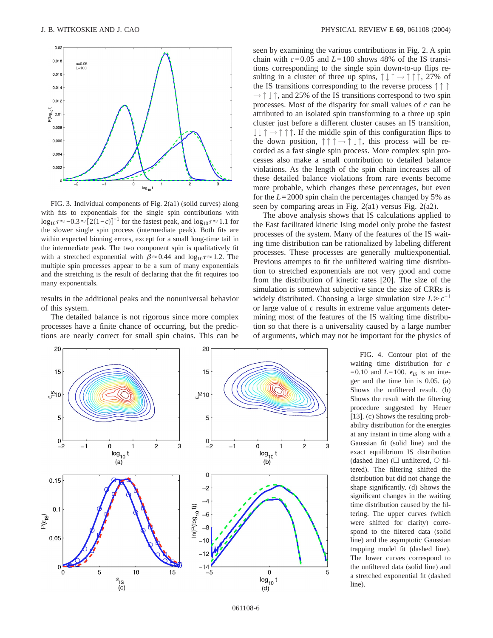

FIG. 3. Individual components of Fig. 2(a1) (solid curves) along with fits to exponentials for the single spin contributions with log<sub>10</sub> $\tau \approx$  -0.3  $\approx$  [2(1-*c*)]<sup>-1</sup> for the fastest peak, and log<sub>10</sub> $\tau \approx$  1.1 for the slower single spin process (intermediate peak). Both fits are within expected binning errors, except for a small long-time tail in the intermediate peak. The two component spin is qualitatively fit with a stretched exponential with  $\beta \approx 0.44$  and  $\log_{10} \tau \approx 1.2$ . The multiple spin processes appear to be a sum of many exponentials and the stretching is the result of declaring that the fit requires too many exponentials.

results in the additional peaks and the nonuniversal behavior of this system.

The detailed balance is not rigorous since more complex processes have a finite chance of occurring, but the predictions are nearly correct for small spin chains. This can be

seen by examining the various contributions in Fig. 2. A spin chain with  $c = 0.05$  and  $L = 100$  shows 48% of the IS transitions corresponding to the single spin down-to-up flips resulting in a cluster of three up spins,  $\uparrow \downarrow \uparrow \rightarrow \uparrow \uparrow \uparrow$ , 27% of the IS transitions corresponding to the reverse process ↑↑↑  $\rightarrow \uparrow \downarrow \uparrow$ , and 25% of the IS transitions correspond to two spin processes. Most of the disparity for small values of *c* can be attributed to an isolated spin transforming to a three up spin cluster just before a different cluster causes an IS transition,  $\downarrow \downarrow \uparrow \rightarrow \uparrow \uparrow \uparrow$ . If the middle spin of this configuration flips to the down position,  $\uparrow \uparrow \uparrow \rightarrow \uparrow \downarrow \uparrow$ , this process will be recorded as a fast single spin process. More complex spin processes also make a small contribution to detailed balance violations. As the length of the spin chain increases all of these detailed balance violations from rare events become more probable, which changes these percentages, but even for the *L*=2000 spin chain the percentages changed by 5% as seen by comparing areas in Fig. 2(a1) versus Fig. 2(a2).

The above analysis shows that IS calculations applied to the East facilitated kinetic Ising model only probe the fastest processes of the system. Many of the features of the IS waiting time distribution can be rationalized by labeling different processes. These processes are generally multiexponential. Previous attempts to fit the unfiltered waiting time distribution to stretched exponentials are not very good and come from the distribution of kinetic rates [20]. The size of the simulation is somewhat subjective since the size of CRRs is widely distributed. Choosing a large simulation size  $L \ge c^{-1}$ or large value of *c* results in extreme value arguments determining most of the features of the IS waiting time distribution so that there is a universality caused by a large number of arguments, which may not be important for the physics of



FIG. 4. Contour plot of the waiting time distribution for *c* =0.10 and  $L=100$ .  $\epsilon_{IS}$  is an integer and the time bin is 0.05. (a) Shows the unfiltered result. (b) Shows the result with the filtering procedure suggested by Heuer [13]. (c) Shows the resulting probability distribution for the energies at any instant in time along with a Gaussian fit (solid line) and the exact equilibrium IS distribution (dashed line) ( $\square$  unfiltered,  $\odot$  filtered). The filtering shifted the distribution but did not change the shape significantly. (d) Shows the significant changes in the waiting time distribution caused by the filtering. The upper curves (which were shifted for clarity) correspond to the filtered data (solid line) and the asymptotic Gaussian trapping model fit (dashed line). The lower curves correspond to the unfiltered data (solid line) and a stretched exponential fit (dashed line).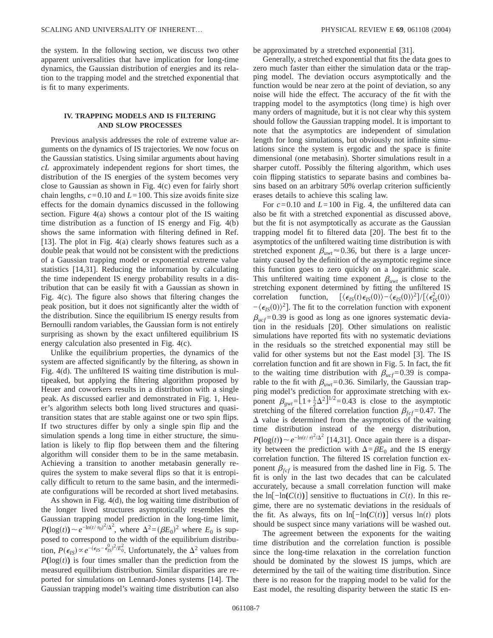the system. In the following section, we discuss two other apparent universalities that have implication for long-time dynamics, the Gaussian distribution of energies and its relation to the trapping model and the stretched exponential that is fit to many experiments.

# **IV. TRAPPING MODELS AND IS FILTERING AND SLOW PROCESSES**

Previous analysis addresses the role of extreme value arguments on the dynamics of IS trajectories. We now focus on the Gaussian statistics. Using similar arguments about having *cL* approximately independent regions for short times, the distribution of the IS energies of the system becomes very close to Gaussian as shown in Fig. 4(c) even for fairly short chain lengths,  $c = 0.10$  and  $L = 100$ . This size avoids finite size effects for the domain dynamics discussed in the following section. Figure 4(a) shows a contour plot of the IS waiting time distribution as a function of IS energy and Fig. 4(b) shows the same information with filtering defined in Ref. [13]. The plot in Fig. 4(a) clearly shows features such as a double peak that would not be consistent with the predictions of a Gaussian trapping model or exponential extreme value statistics [14,31]. Reducing the information by calculating the time independent IS energy probability results in a distribution that can be easily fit with a Gaussian as shown in Fig. 4(c). The figure also shows that filtering changes the peak position, but it does not significantly alter the width of the distribution. Since the equilibrium IS energy results from Bernoulli random variables, the Gaussian form is not entirely surprising as shown by the exact unfiltered equilibrium IS energy calculation also presented in Fig. 4(c).

Unlike the equilibrium properties, the dynamics of the system are affected significantly by the filtering, as shown in Fig. 4(d). The unfiltered IS waiting time distribution is multipeaked, but applying the filtering algorithm proposed by Heuer and coworkers results in a distribution with a single peak. As discussed earlier and demonstrated in Fig. 1, Heuer's algorithm selects both long lived structures and quasitransition states that are stable against one or two spin flips. If two structures differ by only a single spin flip and the simulation spends a long time in either structure, the simulation is likely to flip flop between them and the filtering algorithm will consider them to be in the same metabasin. Achieving a transition to another metabasin generally requires the system to make several flips so that it is entropically difficult to return to the same basin, and the intermediate configurations will be recorded at short lived metabasins.

As shown in Fig. 4(d), the log waiting time distribution of the longer lived structures asymptotically resembles the Gaussian trapping model prediction in the long-time limit,  $P(\log(t)) \sim e^{-\ln(t/\tau_0)^2/\Delta^2}$ , where  $\Delta^2 = (\beta E_0)^2$  where  $E_0$  is supposed to correspond to the width of the equilibrium distribution,  $P(\epsilon_{IS}) \propto e^{-(\epsilon_{IS} - \epsilon_{IS}^0)^2/E_0^2}$ . Unfortunately, the  $\Delta^2$  values from  $P(\log(t))$  is four times smaller than the prediction from the measured equilibrium distribution. Similar disparities are reported for simulations on Lennard-Jones systems [14]. The Gaussian trapping model's waiting time distribution can also be approximated by a stretched exponential [31].

Generally, a stretched exponential that fits the data goes to zero much faster than either the simulation data or the trapping model. The deviation occurs asymptotically and the function would be near zero at the point of deviation, so any noise will hide the effect. The accuracy of the fit with the trapping model to the asymptotics (long time) is high over many orders of magnitude, but it is not clear why this system should follow the Gaussian trapping model. It is important to note that the asymptotics are independent of simulation length for long simulations, but obviously not infinite simulations since the system is ergodic and the space is finite dimensional (one metabasin). Shorter simulations result in a sharper cutoff. Possibly the filtering algorithm, which uses coin flipping statistics to separate basins and combines basins based on an arbitrary 50% overlap criterion sufficiently erases details to achieve this scaling law.

For  $c=0.10$  and  $L=100$  in Fig. 4, the unfiltered data can also be fit with a stretched exponential as discussed above, but the fit is not asymptotically as accurate as the Gaussian trapping model fit to filtered data [20]. The best fit to the asymptotics of the unfiltered waiting time distribution is with stretched exponent  $\beta_{uwt} \approx 0.36$ , but there is a large uncertainty caused by the definition of the asymptotic regime since this function goes to zero quickly on a logarithmic scale. This unfiltered waiting time exponent  $\beta_{uwt}$  is close to the stretching exponent determined by fitting the unfiltered IS correlation function,  $[\langle \epsilon_{IS}(t) \epsilon_{IS}(0) \rangle - \langle \epsilon_{IS}(0) \rangle^2]/[\langle \epsilon_{IS}^2(0) \rangle$  $-\langle \epsilon_{IS}(0) \rangle^2$ ]. The fit to the correlation function with exponent  $\beta_{\mu c f}$ =0.39 is good as long as one ignores systematic deviation in the residuals [20]. Other simulations on realistic simulations have reported fits with no systematic deviations in the residuals so the stretched exponential may still be valid for other systems but not the East model [3]. The IS correlation function and fit are shown in Fig. 5. In fact, the fit to the waiting time distribution with  $\beta_{ucf} = 0.39$  is comparable to the fit with  $\beta_{uvt}$ =0.36. Similarly, the Gaussian trapping model's prediction for approximate stretching with exponent  $\beta_{gwt}$ = $[1 + \frac{1}{2}\Delta^2]^{1/2}$ =0.43 is close to the asymptotic stretching of the filtered correlation function  $\beta_{\text{fcf}} = 0.47$ . The  $\Delta$  value is determined from the asymptotics of the waiting time distribution instead of the energy distribution,  $P(\log(t)) \sim e^{-\ln(t/\tau)^2/\Delta^2}$  [14,31]. Once again there is a disparity between the prediction with  $\Delta = \beta E_0$  and the IS energy correlation function. The filtered IS correlation function exponent  $\beta_{\text{fcf}}$  is measured from the dashed line in Fig. 5. The fit is only in the last two decades that can be calculated accurately, because a small correlation function will make the ln[ $-\ln(C(t))$ ] sensitive to fluctuations in *C*(*t*). In this regime, there are no systematic deviations in the residuals of the fit. As always, fits on ln[ $-\ln(C(t))$ ] versus ln(*t*) plots should be suspect since many variations will be washed out.

The agreement between the exponents for the waiting time distribution and the correlation function is possible since the long-time relaxation in the correlation function should be dominated by the slowest IS jumps, which are determined by the tail of the waiting time distribution. Since there is no reason for the trapping model to be valid for the East model, the resulting disparity between the static IS en-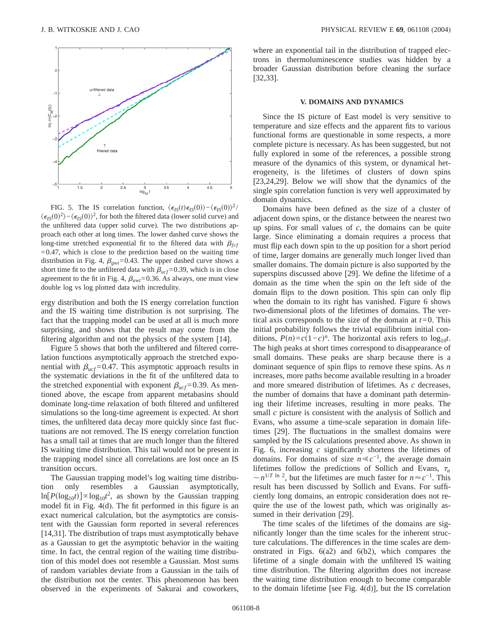

FIG. 5. The IS correlation function,  $\langle \epsilon_{IS}(t) \epsilon_{IS}(0) \rangle - \langle \epsilon_{IS}(0) \rangle^2$ /  $\langle \epsilon_{IS}(0)^2 \rangle - \langle \epsilon_{IS}(0) \rangle^2$ , for both the filtered data (lower solid curve) and the unfiltered data (upper solid curve). The two distributions approach each other at long times. The lower dashed curve shows the long-time stretched exponential fit to the filtered data with  $\beta_{\text{fcf}}$ =0.47, which is close to the prediction based on the waiting time distribution in Fig. 4,  $\beta_{gwt}$ =0.43. The upper dashed curve shows a short time fit to the unfiltered data with  $\beta_{ucf} = 0.39$ , which is in close agreement to the fit in Fig. 4,  $\beta_{uvt}$ =0.36. As always, one must view double log vs log plotted data with incredulity.

ergy distribution and both the IS energy correlation function and the IS waiting time distribution is not surprising. The fact that the trapping model can be used at all is much more surprising, and shows that the result may come from the filtering algorithm and not the physics of the system [14].

Figure 5 shows that both the unfiltered and filtered correlation functions asymptotically approach the stretched exponential with  $\beta_{ucf}$  =0.47. This asymptotic approach results in the systematic deviations in the fit of the unfiltered data to the stretched exponential with exponent  $\beta_{\mucf}$  = 0.39. As mentioned above, the escape from apparent metabasins should dominate long-time relaxation of both filtered and unfiltered simulations so the long-time agreement is expected. At short times, the unfiltered data decay more quickly since fast fluctuations are not removed. The IS energy correlation function has a small tail at times that are much longer than the filtered IS waiting time distribution. This tail would not be present in the trapping model since all correlations are lost once an IS transition occurs.

The Gaussian trapping model's log waiting time distribution only resembles a Gaussian asymptotically,  $ln[P(log_{10}t)] \propto log_{10}t^2$ , as shown by the Gaussian trapping model fit in Fig. 4(d). The fit performed in this figure is an exact numerical calculation, but the asymptotics are consistent with the Gaussian form reported in several references [14,31]. The distribution of traps must asymptotically behave as a Gaussian to get the asymptotic behavior in the waiting time. In fact, the central region of the waiting time distribution of this model does not resemble a Gaussian. Most sums of random variables deviate from a Gaussian in the tails of the distribution not the center. This phenomenon has been observed in the experiments of Sakurai and coworkers, where an exponential tail in the distribution of trapped electrons in thermoluminescence studies was hidden by a broader Gaussian distribution before cleaning the surface [32,33].

## **V. DOMAINS AND DYNAMICS**

Since the IS picture of East model is very sensitive to temperature and size effects and the apparent fits to various functional forms are questionable in some respects, a more complete picture is necessary. As has been suggested, but not fully explored in some of the references, a possible strong measure of the dynamics of this system, or dynamical heterogeneity, is the lifetimes of clusters of down spins [23,24,29]. Below we will show that the dynamics of the single spin correlation function is very well approximated by domain dynamics.

Domains have been defined as the size of a cluster of adjacent down spins, or the distance between the nearest two up spins. For small values of *c*, the domains can be quite large. Since eliminating a domain requires a process that must flip each down spin to the up position for a short period of time, larger domains are generally much longer lived than smaller domains. The domain picture is also supported by the superspins discussed above [29]. We define the lifetime of a domain as the time when the spin on the left side of the domain flips to the down position. This spin can only flip when the domain to its right has vanished. Figure 6 shows two-dimensional plots of the lifetimes of domains. The vertical axis corresponds to the size of the domain at *t*=0. This initial probability follows the trivial equilibrium initial conditions,  $P(n) = c(1-c)^n$ . The horizontal axis refers to log<sub>10</sub>*t*. The high peaks at short times correspond to disappearance of small domains. These peaks are sharp because there is a dominant sequence of spin flips to remove these spins. As *n* increases, more paths become available resulting in a broader and more smeared distribution of lifetimes. As *c* decreases, the number of domains that have a dominant path determining their lifetime increases, resulting in more peaks. The small *c* picture is consistent with the analysis of Sollich and Evans, who assume a time-scale separation in domain lifetimes [29]. The fluctuations in the smallest domains were sampled by the IS calculations presented above. As shown in Fig. 6, increasing *c* significantly shortens the lifetimes of domains. For domains of size  $n \ll c^{-1}$ , the average domain lifetimes follow the predictions of Sollich and Evans,  $\tau_n$  $\sim$ *n*<sup>1/*T*</sup> ln <sup>2</sup>, but the lifetimes are much faster for *n* ≈ *c*<sup>−1</sup>. This result has been discussed by Sollich and Evans. For sufficiently long domains, an entropic consideration does not require the use of the lowest path, which was originally assumed in their derivation [29].

The time scales of the lifetimes of the domains are significantly longer than the time scales for the inherent structure calculations. The differences in the time scales are demonstrated in Figs. 6(a2) and 6(b2), which compares the lifetime of a single domain with the unfiltered IS waiting time distribution. The filtering algorithm does not increase the waiting time distribution enough to become comparable to the domain lifetime [see Fig. 4(d)], but the IS correlation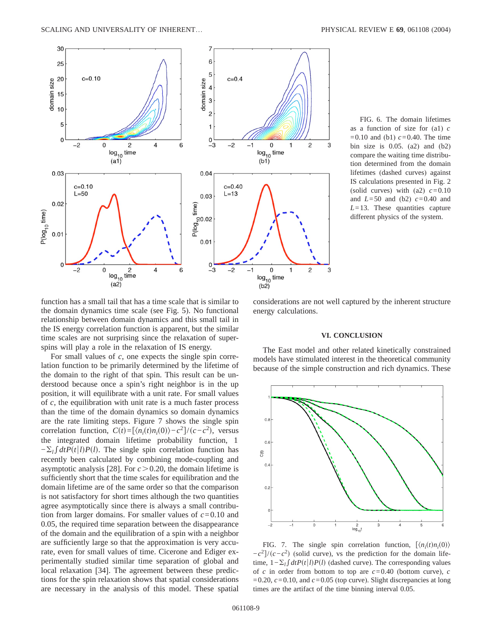

FIG. 6. The domain lifetimes as a function of size for (a1) *c*  $=0.10$  and (b1)  $c = 0.40$ . The time bin size is 0.05. (a2) and (b2) compare the waiting time distribution determined from the domain lifetimes (dashed curves) against IS calculations presented in Fig. 2 (solid curves) with  $(a2)$   $c=0.10$ and *L*=50 and (b2) *c*=0.40 and *L*=13. These quantities capture different physics of the system.

function has a small tail that has a time scale that is similar to the domain dynamics time scale (see Fig. 5). No functional relationship between domain dynamics and this small tail in the IS energy correlation function is apparent, but the similar time scales are not surprising since the relaxation of superspins will play a role in the relaxation of IS energy.

For small values of *c*, one expects the single spin correlation function to be primarily determined by the lifetime of the domain to the right of that spin. This result can be understood because once a spin's right neighbor is in the up position, it will equilibrate with a unit rate. For small values of *c*, the equilibration with unit rate is a much faster process than the time of the domain dynamics so domain dynamics are the rate limiting steps. Figure 7 shows the single spin correlation function,  $C(t) = [\langle n_i(t) n_i(0) \rangle - c^2]/(c - c^2)$ , versus the integrated domain lifetime probability function, 1  $-\Sigma_l \int dt P(t|l)P(l)$ . The single spin correlation function has recently been calculated by combining mode-coupling and asymptotic analysis [28]. For  $c > 0.20$ , the domain lifetime is sufficiently short that the time scales for equilibration and the domain lifetime are of the same order so that the comparison is not satisfactory for short times although the two quantities agree asymptotically since there is always a small contribution from larger domains. For smaller values of *c*=0.10 and 0.05, the required time separation between the disappearance of the domain and the equilibration of a spin with a neighbor are sufficiently large so that the approximation is very accurate, even for small values of time. Cicerone and Ediger experimentally studied similar time separation of global and local relaxation [34]. The agreement between these predictions for the spin relaxation shows that spatial considerations are necessary in the analysis of this model. These spatial

considerations are not well captured by the inherent structure energy calculations.

#### **VI. CONCLUSION**

The East model and other related kinetically constrained models have stimulated interest in the theoretical community because of the simple construction and rich dynamics. These



FIG. 7. The single spin correlation function,  $\left[ \langle n_i(t) n_i(0) \rangle \right]$  $-c^2$ / $(c-c^2)$  (solid curve), vs the prediction for the domain lifetime,  $1 - \sum_l \int dt P(t|l)P(l)$  (dashed curve). The corresponding values of *c* in order from bottom to top are *c*=0.40 (bottom curve), *c*  $=0.20$ ,  $c=0.10$ , and  $c=0.05$  (top curve). Slight discrepancies at long times are the artifact of the time binning interval 0.05.